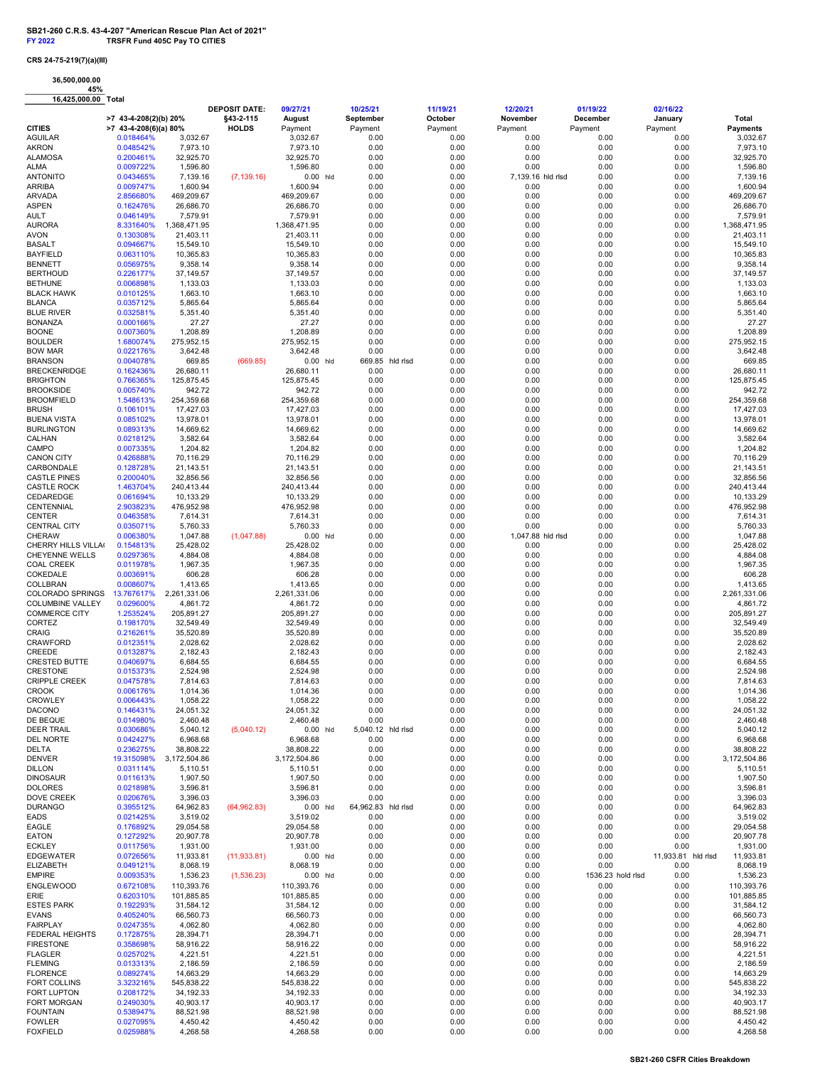## CRS 24-75-219(7)(a)(III)

36,500,000.00 45% 16,425,000.00 Total

|                                         |                                                  |                         | <b>DEPOSIT DATE:</b>      | 09/27/21                | 10/25/21                  |          | 11/19/21           | 12/20/21                  | 01/19/22            | 02/16/22           |                          |
|-----------------------------------------|--------------------------------------------------|-------------------------|---------------------------|-------------------------|---------------------------|----------|--------------------|---------------------------|---------------------|--------------------|--------------------------|
| <b>CITIES</b>                           | >7 43-4-208(2)(b) 20%<br>$>7$ 43-4-208(6)(a) 80% |                         | §43-2-115<br><b>HOLDS</b> | August<br>Payment       | September<br>Payment      |          | October<br>Payment | November<br>Payment       | December<br>Payment | January<br>Payment | Total<br><b>Payments</b> |
| <b>AGUILAR</b>                          | 0.018464%                                        | 3,032.67                |                           | 3,032.67                | 0.00                      |          | 0.00               | 0.00                      | 0.00                | 0.00               | 3,032.67                 |
| <b>AKRON</b>                            | 0.048542%                                        | 7,973.10                |                           | 7,973.10                | 0.00                      |          | 0.00               | 0.00                      | 0.00                | 0.00               | 7,973.10                 |
| <b>ALAMOSA</b>                          | 0.200461%                                        | 32,925.70               |                           | 32,925.70               | 0.00                      |          | 0.00               | 0.00                      | 0.00                | 0.00               | 32,925.70                |
| ALMA                                    | 0.009722%                                        | 1,596.80                |                           | 1,596.80                | 0.00                      |          | 0.00               | 0.00                      | 0.00                | 0.00               | 1,596.80                 |
| <b>ANTONITO</b>                         | 0.043465%                                        | 7,139.16                | (7, 139.16)               | $0.00$ hld              | 0.00                      |          | 0.00               | 7,139.16 hld rlsd         | 0.00                | 0.00               | 7,139.16                 |
| <b>ARRIBA</b>                           | 0.009747%                                        | 1,600.94                |                           | 1,600.94                | 0.00                      |          | 0.00               | 0.00                      | 0.00                | 0.00               | 1,600.94                 |
| ARVADA<br><b>ASPEN</b>                  | 2.856680%                                        | 469,209.67<br>26,686.70 |                           | 469,209.67<br>26,686.70 | 0.00<br>0.00              |          | 0.00<br>0.00       | 0.00<br>0.00              | 0.00<br>0.00        | 0.00<br>0.00       | 469,209.67<br>26,686.70  |
| AULT                                    | 0.162476%<br>0.046149%                           | 7,579.91                |                           | 7,579.91                | 0.00                      |          | 0.00               | 0.00                      | 0.00                | 0.00               | 7,579.91                 |
| <b>AURORA</b>                           | 8.331640%                                        | 1,368,471.95            |                           | 1,368,471.95            | 0.00                      |          | 0.00               | 0.00                      | 0.00                | 0.00               | 1,368,471.95             |
| <b>AVON</b>                             | 0.130308%                                        | 21,403.11               |                           | 21,403.11               | 0.00                      |          | 0.00               | 0.00                      | 0.00                | 0.00               | 21,403.11                |
| <b>BASALT</b>                           | 0.094667%                                        | 15,549.10               |                           | 15,549.10               | 0.00                      |          | 0.00               | 0.00                      | 0.00                | 0.00               | 15,549.10                |
| <b>BAYFIELD</b>                         | 0.063110%                                        | 10,365.83               |                           | 10,365.83               | 0.00                      |          | 0.00               | 0.00                      | 0.00                | 0.00               | 10,365.83                |
| <b>BENNETT</b>                          | 0.056975%                                        | 9,358.14                |                           | 9,358.14                | 0.00                      |          | 0.00               | 0.00                      | 0.00                | 0.00               | 9,358.14                 |
| <b>BERTHOUD</b>                         | 0.226177%                                        | 37,149.57               |                           | 37,149.57               | 0.00                      |          | 0.00               | 0.00                      | 0.00                | 0.00               | 37,149.57                |
| <b>BETHUNE</b>                          | 0.006898%                                        | 1,133.03                |                           | 1,133.03                | 0.00                      |          | 0.00               | 0.00                      | 0.00                | 0.00               | 1,133.03                 |
| <b>BLACK HAWK</b>                       | 0.010125%                                        | 1.663.10                |                           | 1,663.10                | 0.00                      |          | 0.00               | 0.00                      | 0.00                | 0.00               | 1,663.10                 |
| <b>BLANCA</b><br><b>BLUE RIVER</b>      | 0.035712%<br>0.032581%                           | 5,865.64<br>5,351.40    |                           | 5,865.64<br>5,351.40    | 0.00<br>0.00              |          | 0.00<br>0.00       | 0.00<br>0.00              | 0.00<br>0.00        | 0.00<br>0.00       | 5,865.64<br>5,351.40     |
| <b>BONANZA</b>                          | 0.000166%                                        | 27.27                   |                           | 27.27                   | 0.00                      |          | 0.00               | 0.00                      | 0.00                | 0.00               | 27.27                    |
| <b>BOONE</b>                            | 0.007360%                                        | 1,208.89                |                           | 1,208.89                | 0.00                      |          | 0.00               | 0.00                      | 0.00                | 0.00               | 1,208.89                 |
| <b>BOULDER</b>                          | 1.680074%                                        | 275,952.15              |                           | 275,952.15              | 0.00                      |          | 0.00               | 0.00                      | 0.00                | 0.00               | 275,952.15               |
| <b>BOW MAR</b>                          | 0.022176%                                        | 3,642.48                |                           | 3,642.48                | 0.00                      |          | 0.00               | 0.00                      | 0.00                | 0.00               | 3,642.48                 |
| <b>BRANSON</b>                          | 0.004078%                                        | 669.85                  | (669.85)                  | 0.00<br>hld             | 669.85                    | hid risd | 0.00               | 0.00                      | 0.00                | 0.00               | 669.85                   |
| <b>BRECKENRIDGE</b>                     | 0.162436%                                        | 26,680.11               |                           | 26,680.11               | 0.00                      |          | 0.00               | 0.00                      | 0.00                | 0.00               | 26,680.11                |
| <b>BRIGHTON</b>                         | 0.766365%                                        | 125,875.45              |                           | 125,875.45              | 0.00                      |          | 0.00               | 0.00                      | 0.00                | 0.00               | 125,875.45               |
| <b>BROOKSIDE</b>                        | 0.005740%                                        | 942.72                  |                           | 942.72                  | 0.00                      |          | 0.00               | 0.00                      | 0.00                | 0.00               | 942.72                   |
| <b>BROOMFIELD</b>                       | 1.548613%                                        | 254,359.68              |                           | 254,359.68              | 0.00                      |          | 0.00               | 0.00                      | 0.00                | 0.00               | 254,359.68               |
| <b>BRUSH</b>                            | 0.106101%                                        | 17,427.03               |                           | 17,427.03               | 0.00                      |          | 0.00               | 0.00                      | 0.00                | 0.00               | 17,427.03                |
| <b>BUENA VISTA</b><br><b>BURLINGTON</b> | 0.085102%<br>0.089313%                           | 13,978.01<br>14,669.62  |                           | 13,978.01<br>14,669.62  | 0.00<br>0.00              |          | 0.00<br>0.00       | 0.00<br>0.00              | 0.00<br>0.00        | 0.00<br>0.00       | 13,978.01<br>14,669.62   |
| CALHAN                                  | 0.021812%                                        | 3,582.64                |                           | 3,582.64                | 0.00                      |          | 0.00               | 0.00                      | 0.00                | 0.00               | 3,582.64                 |
| CAMPO                                   | 0.007335%                                        | 1,204.82                |                           | 1,204.82                | 0.00                      |          | 0.00               | 0.00                      | 0.00                | 0.00               | 1,204.82                 |
| <b>CANON CITY</b>                       | 0.426888%                                        | 70,116.29               |                           | 70,116.29               | 0.00                      |          | 0.00               | 0.00                      | 0.00                | 0.00               | 70,116.29                |
| CARBONDALE                              | 0.128728%                                        | 21,143.51               |                           | 21,143.51               | 0.00                      |          | 0.00               | 0.00                      | 0.00                | 0.00               | 21,143.51                |
| <b>CASTLE PINES</b>                     | 0.200040%                                        | 32.856.56               |                           | 32,856.56               | 0.00                      |          | 0.00               | 0.00                      | 0.00                | 0.00               | 32,856.56                |
| <b>CASTLE ROCK</b>                      | 1.463704%                                        | 240.413.44              |                           | 240,413.44              | 0.00                      |          | 0.00               | 0.00                      | 0.00                | 0.00               | 240.413.44               |
| CEDAREDGE                               | 0.061694%                                        | 10,133.29               |                           | 10,133.29               | 0.00                      |          | 0.00               | 0.00                      | 0.00                | 0.00               | 10,133.29                |
| CENTENNIAL                              | 2.903823%                                        | 476,952.98              |                           | 476,952.98              | 0.00                      |          | 0.00               | 0.00                      | 0.00                | 0.00               | 476,952.98               |
| <b>CENTER</b>                           | 0.046358%                                        | 7,614.31                |                           | 7,614.31                | 0.00                      |          | 0.00               | 0.00                      | 0.00                | 0.00               | 7,614.31                 |
| <b>CENTRAL CITY</b><br><b>CHERAW</b>    | 0.035071%<br>0.006380%                           | 5,760.33<br>1,047.88    |                           | 5,760.33<br>$0.00$ hld  | 0.00<br>0.00              |          | 0.00<br>0.00       | 0.00<br>1,047.88 hld rlsd | 0.00<br>0.00        | 0.00<br>0.00       | 5,760.33<br>1,047.88     |
| CHERRY HILLS VILLA(                     | 0.154813%                                        | 25,428.02               | (1,047.88)                | 25,428.02               | 0.00                      |          | 0.00               | 0.00                      | 0.00                | 0.00               | 25,428.02                |
| <b>CHEYENNE WELLS</b>                   | 0.029736%                                        | 4,884.08                |                           | 4,884.08                | 0.00                      |          | 0.00               | 0.00                      | 0.00                | 0.00               | 4,884.08                 |
| <b>COAL CREEK</b>                       | 0.011978%                                        | 1,967.35                |                           | 1,967.35                | 0.00                      |          | 0.00               | 0.00                      | 0.00                | 0.00               | 1,967.35                 |
| COKEDALE                                | 0.003691%                                        | 606.28                  |                           | 606.28                  | 0.00                      |          | 0.00               | 0.00                      | 0.00                | 0.00               | 606.28                   |
| COLLBRAN                                | 0.008607%                                        | 1,413.65                |                           | 1,413.65                | 0.00                      |          | 0.00               | 0.00                      | 0.00                | 0.00               | 1,413.65                 |
| COLORADO SPRINGS                        | 13.767617%                                       | 2,261,331.06            |                           | 2,261,331.06            | 0.00                      |          | 0.00               | 0.00                      | 0.00                | 0.00               | 2,261,331.06             |
| COLUMBINE VALLEY                        | 0.029600%                                        | 4,861.72                |                           | 4,861.72                | 0.00                      |          | 0.00               | 0.00                      | 0.00                | 0.00               | 4,861.72                 |
| <b>COMMERCE CITY</b>                    | 1.253524%                                        | 205,891.27              |                           | 205,891.27              | 0.00                      |          | 0.00               | 0.00                      | 0.00                | 0.00               | 205,891.27               |
| CORTEZ                                  | 0.198170%                                        | 32,549.49               |                           | 32,549.49               | 0.00<br>0.00              |          | 0.00               | 0.00<br>0.00              | 0.00                | 0.00               | 32,549.49                |
| <b>CRAIG</b><br>CRAWFORD                | 0.216261%<br>0.012351%                           | 35,520.89<br>2,028.62   |                           | 35,520.89<br>2,028.62   | 0.00                      |          | 0.00<br>0.00       | 0.00                      | 0.00<br>0.00        | 0.00<br>0.00       | 35,520.89<br>2,028.62    |
| CREEDE                                  | 0.013287%                                        | 2,182.43                |                           | 2,182.43                | 0.00                      |          | 0.00               | 0.00                      | 0.00                | 0.00               | 2,182.43                 |
| <b>CRESTED BUTTE</b>                    | 0.040697%                                        | 6,684.55                |                           | 6,684.55                | 0.00                      |          | 0.00               | 0.00                      | 0.00                | 0.00               | 6,684.55                 |
| <b>CRESTONE</b>                         | 0.015373%                                        | 2,524.98                |                           | 2,524.98                | 0.00                      |          | 0.00               | 0.00                      | 0.00                | 0.00               | 2,524.98                 |
| <b>CRIPPLE CREEK</b>                    | 0.047578%                                        | 7,814.63                |                           | 7,814.63                | 0.00                      |          | 0.00               | 0.00                      | 0.00                | 0.00               | 7,814.63                 |
| <b>CROOK</b>                            | 0.006176%                                        | 1,014.36                |                           | 1,014.36                | 0.00                      |          | 0.00               | 0.00                      | 0.00                | 0.00               | 1,014.36                 |
| <b>CROWLEY</b>                          | 0.006443%                                        | 1,058.22                |                           | 1,058.22                | 0.00                      |          | 0.00               | 0.00                      | 0.00                | 0.00               | 1,058.22                 |
| <b>DACONO</b>                           | 0.146431%                                        | 24,051.32               |                           | 24,051.32               | 0.00                      |          | 0.00               | 0.00                      | 0.00                | 0.00               | 24,051.32                |
| DE BEQUE                                | 0.014980%                                        | 2,460.48                |                           | 2,460.48                | 0.00                      |          | 0.00               | 0.00                      | 0.00                | 0.00               | 2,460.48                 |
| <b>DEER TRAIL</b><br><b>DEL NORTE</b>   | 0.030686%                                        | 5,040.12<br>6,968.68    | (5,040.12)                | $0.00$ hld<br>6,968.68  | 5,040.12 hld rlsd<br>0.00 |          | 0.00<br>0.00       | 0.00<br>0.00              | 0.00<br>0.00        | 0.00<br>0.00       | 5,040.12<br>6,968.68     |
| <b>DELTA</b>                            | 0.042427%<br>0.236275%                           | 38,808.22               |                           | 38,808.22               | 0.00                      |          | 0.00               | 0.00                      | 0.00                | 0.00               | 38,808.22                |
| <b>DENVER</b>                           | 19.315098%                                       | 3,172,504.86            |                           | 3,172,504.86            | 0.00                      |          | 0.00               | 0.00                      | 0.00                | 0.00               | 3,172,504.86             |
| <b>DILLON</b>                           | 0.031114%                                        | 5,110.51                |                           | 5,110.51                | 0.00                      |          | 0.00               | 0.00                      | 0.00                | 0.00               | 5,110.51                 |
| <b>DINOSAUR</b>                         | 0.011613%                                        | 1,907.50                |                           | 1,907.50                | 0.00                      |          | 0.00               | 0.00                      | 0.00                | 0.00               | 1,907.50                 |
| <b>DOLORES</b>                          | 0.021898%                                        | 3,596.81                |                           | 3,596.81                | 0.00                      |          | 0.00               | 0.00                      | 0.00                | 0.00               | 3,596.81                 |
| DOVE CREEK                              | 0.020676%                                        | 3,396.03                |                           | 3,396.03                | 0.00                      |          | 0.00               | 0.00                      | 0.00                | 0.00               | 3,396.03                 |
| <b>DURANGO</b>                          | 0.395512%                                        | 64,962.83               | (64, 962.83)              | $0.00$ hld              | 64,962.83 hld rlsd        |          | 0.00               | 0.00                      | 0.00                | 0.00               | 64,962.83                |
| <b>EADS</b>                             | 0.021425%                                        | 3,519.02<br>29,054.58   |                           | 3,519.02                | 0.00                      |          | 0.00               | 0.00                      | 0.00                | 0.00               | 3,519.02                 |
| <b>EAGLE</b><br><b>EATON</b>            | 0.176892%<br>0.127292%                           | 20,907.78               |                           | 29,054.58<br>20,907.78  | 0.00<br>0.00              |          | 0.00<br>0.00       | 0.00<br>0.00              | 0.00<br>0.00        | 0.00<br>0.00       | 29,054.58<br>20,907.78   |
| <b>ECKLEY</b>                           | 0.011756%                                        | 1,931.00                |                           | 1,931.00                | 0.00                      |          | 0.00               | 0.00                      | 0.00                | 0.00               | 1,931.00                 |
| <b>EDGEWATER</b>                        | 0.072656%                                        | 11,933.81               | (11, 933.81)              | $0.00$ hld              | 0.00                      |          | 0.00               | 0.00                      | 0.00                | 11,933.81 hld risd | 11,933.81                |
| <b>ELIZABETH</b>                        | 0.049121%                                        | 8,068.19                |                           | 8,068.19                | 0.00                      |          | 0.00               | 0.00                      | 0.00                | 0.00               | 8,068.19                 |
| <b>EMPIRE</b>                           | 0.009353%                                        | 1,536.23                | (1,536.23)                | $0.00$ hld              | 0.00                      |          | 0.00               | 0.00                      | 1536.23 hold risd   | 0.00               | 1,536.23                 |
| <b>ENGLEWOOD</b>                        | 0.672108%                                        | 110,393.76              |                           | 110,393.76              | 0.00                      |          | 0.00               | 0.00                      | 0.00                | 0.00               | 110,393.76               |
| ERIE                                    | 0.620310%                                        | 101,885.85              |                           | 101,885.85              | 0.00                      |          | 0.00               | 0.00                      | 0.00                | 0.00               | 101,885.85               |
| <b>ESTES PARK</b>                       | 0.192293%                                        | 31,584.12               |                           | 31,584.12               | 0.00                      |          | 0.00               | 0.00                      | 0.00                | 0.00               | 31,584.12                |
| <b>EVANS</b>                            | 0.405240%                                        | 66,560.73               |                           | 66,560.73               | 0.00                      |          | 0.00               | 0.00                      | 0.00                | 0.00               | 66,560.73                |
| <b>FAIRPLAY</b>                         | 0.024735%                                        | 4,062.80                |                           | 4,062.80                | 0.00                      |          | 0.00               | 0.00                      | 0.00                | 0.00               | 4,062.80                 |
| FEDERAL HEIGHTS                         | 0.172875%                                        | 28,394.71               |                           | 28,394.71               | 0.00                      |          | 0.00               | 0.00                      | 0.00                | 0.00               | 28,394.71                |
| <b>FIRESTONE</b><br><b>FLAGLER</b>      | 0.358698%<br>0.025702%                           | 58,916.22<br>4,221.51   |                           | 58,916.22<br>4,221.51   | 0.00<br>0.00              |          | 0.00<br>0.00       | 0.00<br>0.00              | 0.00<br>0.00        | 0.00<br>0.00       | 58,916.22<br>4,221.51    |
| <b>FLEMING</b>                          | 0.013313%                                        | 2,186.59                |                           | 2,186.59                | 0.00                      |          | 0.00               | 0.00                      | 0.00                | 0.00               | 2,186.59                 |
| <b>FLORENCE</b>                         | 0.089274%                                        | 14,663.29               |                           | 14,663.29               | 0.00                      |          | 0.00               | 0.00                      | 0.00                | 0.00               | 14,663.29                |
| FORT COLLINS                            | 3.323216%                                        | 545,838.22              |                           | 545,838.22              | 0.00                      |          | 0.00               | 0.00                      | 0.00                | 0.00               | 545,838.22               |
| <b>FORT LUPTON</b>                      | 0.208172%                                        | 34,192.33               |                           | 34,192.33               | 0.00                      |          | 0.00               | 0.00                      | 0.00                | 0.00               | 34,192.33                |
| <b>FORT MORGAN</b>                      | 0.249030%                                        | 40,903.17               |                           | 40,903.17               | 0.00                      |          | 0.00               | 0.00                      | 0.00                | 0.00               | 40,903.17                |
| <b>FOUNTAIN</b>                         | 0.538947%                                        | 88,521.98               |                           | 88,521.98               | 0.00                      |          | 0.00               | 0.00                      | 0.00                | 0.00               | 88,521.98                |
| <b>FOWLER</b>                           | 0.027095%                                        | 4,450.42                |                           | 4,450.42                | 0.00                      |          | 0.00               | 0.00                      | 0.00                | 0.00               | 4,450.42                 |
| <b>FOXFIELD</b>                         | 0.025988%                                        | 4,268.58                |                           | 4,268.58                | 0.00                      |          | 0.00               | 0.00                      | 0.00                | 0.00               | 4,268.58                 |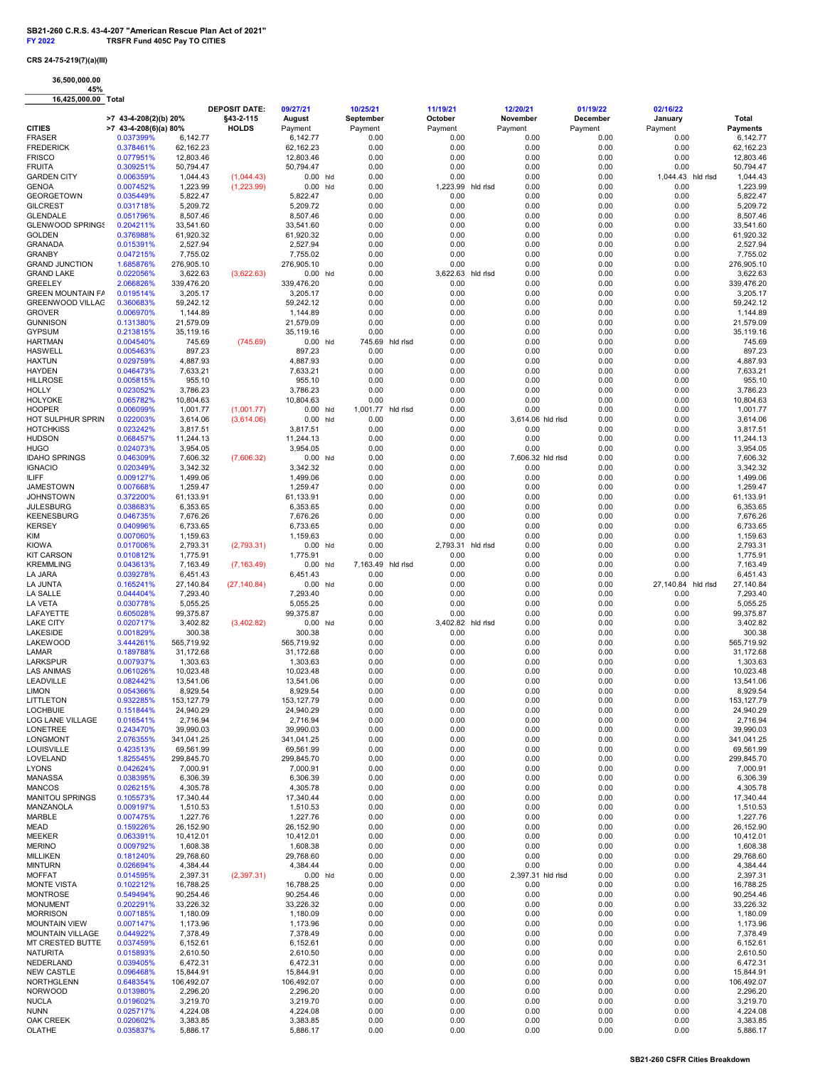## CRS 24-75-219(7)(a)(III)

36,500,000.00

45% 16,425,000.00 Total

| 10, 700, 000.00                        |                                      |                         | <b>DEPOSIT DATE:</b> | 09/27/21                | 10/25/21        |          | 11/19/21                  | 12/20/21                  | 01/19/22        | 02/16/22                   |                             |
|----------------------------------------|--------------------------------------|-------------------------|----------------------|-------------------------|-----------------|----------|---------------------------|---------------------------|-----------------|----------------------------|-----------------------------|
|                                        | >7 43-4-208(2)(b) 20%                |                         | §43-2-115            | August                  | September       |          | October                   | November                  | December        | January                    | Total                       |
| <b>CITIES</b><br><b>FRASER</b>         | $>7$ 43-4-208(6)(a) 80%<br>0.037399% | 6,142.77                | <b>HOLDS</b>         | Payment<br>6,142.77     | Payment<br>0.00 |          | Payment<br>0.00           | Payment<br>0.00           | Payment<br>0.00 | Payment<br>0.00            | <b>Payments</b><br>6,142.77 |
| <b>FREDERICK</b>                       | 0.378461%                            | 62,162.23               |                      | 62,162.23               | 0.00            |          | 0.00                      | 0.00                      | 0.00            | 0.00                       | 62,162.23                   |
| <b>FRISCO</b>                          | 0.077951%                            | 12,803.46               |                      | 12,803.46               | 0.00            |          | 0.00                      | 0.00                      | 0.00            | 0.00                       | 12,803.46                   |
| <b>FRUITA</b>                          | 0.309251%                            | 50,794.47               |                      | 50,794.47               | 0.00            |          | 0.00                      | 0.00                      | 0.00            | 0.00                       | 50,794.47                   |
| <b>GARDEN CITY</b>                     | 0.006359%                            | 1,044.43                | (1,044.43)           | $0.00$ hld              | 0.00            |          | 0.00                      | 0.00                      | 0.00            | 1,044.43 hld rlsd          | 1,044.43                    |
| <b>GENOA</b><br><b>GEORGETOWN</b>      | 0.007452%<br>0.035449%               | 1,223.99<br>5,822.47    | (1,223.99)           | $0.00$ hld<br>5,822.47  | 0.00<br>0.00    |          | 1,223.99 hld rlsd<br>0.00 | 0.00<br>0.00              | 0.00<br>0.00    | 0.00<br>0.00               | 1,223.99<br>5,822.47        |
| <b>GILCREST</b>                        | 0.031718%                            | 5,209.72                |                      | 5,209.72                | 0.00            |          | 0.00                      | 0.00                      | 0.00            | 0.00                       | 5,209.72                    |
| <b>GLENDALE</b>                        | 0.051796%                            | 8,507.46                |                      | 8,507.46                | 0.00            |          | 0.00                      | 0.00                      | 0.00            | 0.00                       | 8,507.46                    |
| <b>GLENWOOD SPRINGS</b>                | 0.204211%                            | 33,541.60               |                      | 33,541.60               | 0.00            |          | 0.00                      | 0.00                      | 0.00            | 0.00                       | 33,541.60                   |
| <b>GOLDEN</b>                          | 0.376988%                            | 61,920.32               |                      | 61,920.32               | 0.00            |          | 0.00                      | 0.00                      | 0.00            | 0.00                       | 61,920.32                   |
| <b>GRANADA</b>                         | 0.015391%                            | 2,527.94                |                      | 2,527.94                | 0.00            |          | 0.00                      | 0.00                      | 0.00            | 0.00                       | 2,527.94                    |
| <b>GRANBY</b><br><b>GRAND JUNCTION</b> | 0.047215%<br>1.685876%               | 7,755.02                |                      | 7,755.02<br>276,905.10  | 0.00<br>0.00    |          | 0.00<br>0.00              | 0.00<br>0.00              | 0.00            | 0.00                       | 7,755.02<br>276,905.10      |
| <b>GRAND LAKE</b>                      | 0.022056%                            | 276,905.10<br>3,622.63  | (3,622.63)           | $0.00$ hld              | 0.00            |          | 3,622.63 hld rlsd         | 0.00                      | 0.00<br>0.00    | 0.00<br>0.00               | 3,622.63                    |
| <b>GREELEY</b>                         | 2.066826%                            | 339,476.20              |                      | 339,476.20              | 0.00            |          | 0.00                      | 0.00                      | 0.00            | 0.00                       | 339,476.20                  |
| <b>GREEN MOUNTAIN FA</b>               | 0.019514%                            | 3,205.17                |                      | 3,205.17                | 0.00            |          | 0.00                      | 0.00                      | 0.00            | 0.00                       | 3,205.17                    |
| <b>GREENWOOD VILLAG</b>                | 0.360683%                            | 59,242.12               |                      | 59,242.12               | 0.00            |          | 0.00                      | 0.00                      | 0.00            | 0.00                       | 59,242.12                   |
| <b>GROVER</b>                          | 0.006970%                            | 1,144.89                |                      | 1,144.89                | 0.00            |          | 0.00                      | 0.00                      | 0.00            | 0.00                       | 1,144.89                    |
| <b>GUNNISON</b><br><b>GYPSUM</b>       | 0.131380%<br>0.213815%               | 21,579.09<br>35,119.16  |                      | 21,579.09<br>35,119.16  | 0.00<br>0.00    |          | 0.00<br>0.00              | 0.00<br>0.00              | 0.00<br>0.00    | 0.00<br>0.00               | 21,579.09<br>35,119.16      |
| <b>HARTMAN</b>                         | 0.004540%                            | 745.69                  | (745.69)             | $0.00$ hld              | 745.69          | hid risd | 0.00                      | 0.00                      | 0.00            | 0.00                       | 745.69                      |
| <b>HASWELL</b>                         | 0.005463%                            | 897.23                  |                      | 897.23                  | 0.00            |          | 0.00                      | 0.00                      | 0.00            | 0.00                       | 897.23                      |
| <b>HAXTUN</b>                          | 0.029759%                            | 4,887.93                |                      | 4,887.93                | 0.00            |          | 0.00                      | 0.00                      | 0.00            | 0.00                       | 4,887.93                    |
| <b>HAYDEN</b>                          | 0.046473%                            | 7,633.21                |                      | 7,633.21                | 0.00            |          | 0.00                      | 0.00                      | 0.00            | 0.00                       | 7,633.21                    |
| <b>HILLROSE</b>                        | 0.005815%                            | 955.10                  |                      | 955.10                  | 0.00            |          | 0.00                      | 0.00                      | 0.00            | 0.00                       | 955.10                      |
| <b>HOLLY</b><br><b>HOLYOKE</b>         | 0.023052%<br>0.065782%               | 3,786.23<br>10,804.63   |                      | 3,786.23<br>10,804.63   | 0.00<br>0.00    |          | 0.00<br>0.00              | 0.00<br>0.00              | 0.00<br>0.00    | 0.00<br>0.00               | 3,786.23<br>10,804.63       |
| <b>HOOPER</b>                          | 0.006099%                            | 1,001.77                | (1,001.77)           | $0.00$ hld              | 1,001.77        | hld risd | 0.00                      | 0.00                      | 0.00            | 0.00                       | 1,001.77                    |
| HOT SULPHUR SPRIN                      | 0.022003%                            | 3,614.06                | (3,614.06)           | $0.00$ hld              | 0.00            |          | 0.00                      | 3,614.06 hld rlsd         | 0.00            | 0.00                       | 3,614.06                    |
| <b>HOTCHKISS</b>                       | 0.023242%                            | 3,817.51                |                      | 3,817.51                | 0.00            |          | 0.00                      | 0.00                      | 0.00            | 0.00                       | 3,817.51                    |
| <b>HUDSON</b>                          | 0.068457%                            | 11,244.13               |                      | 11,244.13               | 0.00            |          | 0.00                      | 0.00                      | 0.00            | 0.00                       | 11,244.13                   |
| <b>HUGO</b>                            | 0.024073%                            | 3,954.05                |                      | 3,954.05                | 0.00            |          | 0.00                      | 0.00                      | 0.00            | 0.00                       | 3,954.05                    |
| <b>IDAHO SPRINGS</b><br><b>IGNACIO</b> | 0.046309%<br>0.020349%               | 7,606.32<br>3,342.32    | (7,606.32)           | $0.00$ hld<br>3,342.32  | 0.00<br>0.00    |          | 0.00<br>0.00              | 7,606.32 hld rlsd<br>0.00 | 0.00<br>0.00    | 0.00<br>0.00               | 7,606.32<br>3,342.32        |
| <b>ILIFF</b>                           | 0.009127%                            | 1,499.06                |                      | 1,499.06                | 0.00            |          | 0.00                      | 0.00                      | 0.00            | 0.00                       | 1,499.06                    |
| <b>JAMESTOWN</b>                       | 0.007668%                            | 1,259.47                |                      | 1,259.47                | 0.00            |          | 0.00                      | 0.00                      | 0.00            | 0.00                       | 1,259.47                    |
| <b>JOHNSTOWN</b>                       | 0.372200%                            | 61,133.91               |                      | 61,133.91               | 0.00            |          | 0.00                      | 0.00                      | 0.00            | 0.00                       | 61,133.91                   |
| <b>JULESBURG</b>                       | 0.038683%                            | 6,353.65                |                      | 6,353.65                | 0.00            |          | 0.00                      | 0.00                      | 0.00            | 0.00                       | 6,353.65                    |
| <b>KEENESBURG</b>                      | 0.046735%                            | 7,676.26                |                      | 7,676.26                | 0.00            |          | 0.00                      | 0.00                      | 0.00            | 0.00                       | 7,676.26                    |
| <b>KERSEY</b><br>KIM                   | 0.040996%<br>0.007060%               | 6,733.65<br>1,159.63    |                      | 6,733.65<br>1,159.63    | 0.00<br>0.00    |          | 0.00<br>0.00              | 0.00<br>0.00              | 0.00<br>0.00    | 0.00<br>0.00               | 6,733.65<br>1,159.63        |
| <b>KIOWA</b>                           | 0.017006%                            | 2,793.31                | (2,793.31)           | $0.00$ hld              | 0.00            |          | 2,793.31 hld rlsd         | 0.00                      | 0.00            | 0.00                       | 2,793.31                    |
| <b>KIT CARSON</b>                      | 0.010812%                            | 1,775.91                |                      | 1,775.91                | 0.00            |          | 0.00                      | 0.00                      | 0.00            | 0.00                       | 1,775.91                    |
| <b>KREMMLING</b>                       | 0.043613%                            | 7,163.49                | (7, 163.49)          | $0.00$ hld              | 7,163.49        | hld rlsd | 0.00                      | 0.00                      | 0.00            | 0.00                       | 7,163.49                    |
| LA JARA                                | 0.039278%                            | 6,451.43                |                      | 6,451.43                | 0.00            |          | 0.00                      | 0.00                      | 0.00            | 0.00                       | 6,451.43                    |
| <b>LA JUNTA</b><br><b>LA SALLE</b>     | 0.165241%                            | 27,140.84<br>7,293.40   | (27, 140.84)         | $0.00$ hld<br>7,293.40  | 0.00<br>0.00    |          | 0.00<br>0.00              | 0.00<br>0.00              | 0.00<br>0.00    | 27,140.84 hld rlsd<br>0.00 | 27,140.84<br>7,293.40       |
| LA VETA                                | 0.044404%<br>0.030778%               | 5,055.25                |                      | 5,055.25                | 0.00            |          | 0.00                      | 0.00                      | 0.00            | 0.00                       | 5,055.25                    |
| LAFAYETTE                              | 0.605028%                            | 99,375.87               |                      | 99,375.87               | 0.00            |          | 0.00                      | 0.00                      | 0.00            | 0.00                       | 99,375.87                   |
| <b>LAKE CITY</b>                       | 0.020717%                            | 3,402.82                | (3,402.82)           | $0.00$ hld              | 0.00            |          | 3,402.82 hld rlsd         | 0.00                      | 0.00            | 0.00                       | 3,402.82                    |
| LAKESIDE                               | 0.001829%                            | 300.38                  |                      | 300.38                  | 0.00            |          | 0.00                      | 0.00                      | 0.00            | 0.00                       | 300.38                      |
| <b>LAKEWOOD</b>                        | 3.444261%                            | 565,719.92              |                      | 565,719.92              | 0.00            |          | 0.00                      | 0.00                      | 0.00            | 0.00                       | 565,719.92                  |
| LAMAR<br><b>LARKSPUR</b>               | 0.189788%<br>0.007937%               | 31,172.68<br>1,303.63   |                      | 31,172.68<br>1,303.63   | 0.00<br>0.00    |          | 0.00<br>0.00              | 0.00<br>0.00              | 0.00<br>0.00    | 0.00<br>0.00               | 31,172.68<br>1,303.63       |
| <b>LAS ANIMAS</b>                      | 0.061026%                            | 10,023.48               |                      | 10,023.48               | 0.00            |          | 0.00                      | 0.00                      | 0.00            | 0.00                       | 10,023.48                   |
| LEADVILLE                              | 0.082442%                            | 13,541.06               |                      | 13,541.06               | 0.00            |          | 0.00                      | 0.00                      | 0.00            | 0.00                       | 13,541.06                   |
| <b>LIMON</b>                           | 0.054366%                            | 8,929.54                |                      | 8,929.54                | 0.00            |          | 0.00                      | 0.00                      | 0.00            | 0.00                       | 8,929.54                    |
| LITTLETON                              | 0.932285%                            | 153,127.79              |                      | 153,127.79              | 0.00            |          | 0.00                      | 0.00                      | 0.00            | 0.00                       | 153, 127.79                 |
| <b>LOCHBUIE</b><br>LOG LANE VILLAGE    | 0.151844%                            | 24,940.29               |                      | 24,940.29               | 0.00            |          | 0.00                      | 0.00                      | 0.00            | 0.00                       | 24,940.29                   |
| LONETREE                               | 0.016541%<br>0.243470%               | 2,716.94<br>39,990.03   |                      | 2,716.94<br>39,990.03   | 0.00<br>0.00    |          | 0.00<br>0.00              | 0.00<br>0.00              | 0.00<br>0.00    | 0.00<br>0.00               | 2,716.94<br>39,990.03       |
| <b>LONGMONT</b>                        | 2.076355%                            | 341,041.25              |                      | 341,041.25              | 0.00            |          | 0.00                      | 0.00                      | 0.00            | 0.00                       | 341,041.25                  |
| LOUISVILLE                             | 0.423513%                            | 69,561.99               |                      | 69,561.99               | 0.00            |          | 0.00                      | 0.00                      | 0.00            | 0.00                       | 69,561.99                   |
| LOVELAND                               | 1.825545%                            | 299,845.70              |                      | 299,845.70              | 0.00            |          | 0.00                      | 0.00                      | 0.00            | 0.00                       | 299,845.70                  |
| <b>LYONS</b>                           | 0.042624%                            | 7,000.91                |                      | 7,000.91                | 0.00            |          | 0.00                      | 0.00                      | 0.00            | 0.00                       | 7,000.91                    |
| <b>MANASSA</b><br><b>MANCOS</b>        | 0.038395%<br>0.026215%               | 6,306.39<br>4,305.78    |                      | 6,306.39<br>4,305.78    | 0.00<br>0.00    |          | 0.00<br>0.00              | 0.00<br>0.00              | 0.00<br>0.00    | 0.00<br>0.00               | 6,306.39<br>4,305.78        |
| <b>MANITOU SPRINGS</b>                 | 0.105573%                            | 17,340.44               |                      | 17,340.44               | 0.00            |          | 0.00                      | 0.00                      | 0.00            | 0.00                       | 17,340.44                   |
| MANZANOLA                              | 0.009197%                            | 1,510.53                |                      | 1,510.53                | 0.00            |          | 0.00                      | 0.00                      | 0.00            | 0.00                       | 1,510.53                    |
| MARBLE                                 | 0.007475%                            | 1,227.76                |                      | 1,227.76                | 0.00            |          | 0.00                      | 0.00                      | 0.00            | 0.00                       | 1,227.76                    |
| <b>MEAD</b>                            | 0.159226%                            | 26,152.90               |                      | 26,152.90               | 0.00            |          | 0.00                      | 0.00                      | 0.00            | 0.00                       | 26,152.90                   |
| <b>MEEKER</b><br><b>MERINO</b>         | 0.063391%<br>0.009792%               | 10,412.01<br>1,608.38   |                      | 10,412.01<br>1,608.38   | 0.00<br>0.00    |          | 0.00<br>0.00              | 0.00<br>0.00              | 0.00<br>0.00    | 0.00<br>0.00               | 10,412.01<br>1,608.38       |
| <b>MILLIKEN</b>                        | 0.181240%                            | 29,768.60               |                      | 29,768.60               | 0.00            |          | 0.00                      | 0.00                      | 0.00            | 0.00                       | 29,768.60                   |
| <b>MINTURN</b>                         | 0.026694%                            | 4,384.44                |                      | 4,384.44                | 0.00            |          | 0.00                      | 0.00                      | 0.00            | 0.00                       | 4,384.44                    |
| <b>MOFFAT</b>                          | 0.014595%                            | 2,397.31                | (2,397.31)           | $0.00$ hld              | 0.00            |          | 0.00                      | 2,397.31 hld rlsd         | 0.00            | 0.00                       | 2,397.31                    |
| <b>MONTE VISTA</b>                     | 0.102212%                            | 16,788.25               |                      | 16,788.25               | 0.00            |          | 0.00                      | 0.00                      | 0.00            | 0.00                       | 16,788.25                   |
| <b>MONTROSE</b>                        | 0.549494%                            | 90,254.46               |                      | 90,254.46               | 0.00            |          | 0.00                      | 0.00                      | 0.00            | 0.00                       | 90,254.46                   |
| <b>MONUMENT</b><br><b>MORRISON</b>     | 0.202291%<br>0.007185%               | 33,226.32<br>1,180.09   |                      | 33,226.32<br>1,180.09   | 0.00<br>0.00    |          | 0.00<br>0.00              | 0.00<br>0.00              | 0.00<br>0.00    | 0.00<br>0.00               | 33,226.32<br>1,180.09       |
| <b>MOUNTAIN VIEW</b>                   | 0.007147%                            | 1,173.96                |                      | 1,173.96                | 0.00            |          | 0.00                      | 0.00                      | 0.00            | 0.00                       | 1,173.96                    |
| <b>MOUNTAIN VILLAGE</b>                | 0.044922%                            | 7,378.49                |                      | 7,378.49                | 0.00            |          | 0.00                      | 0.00                      | 0.00            | 0.00                       | 7,378.49                    |
| MT CRESTED BUTTE                       | 0.037459%                            | 6,152.61                |                      | 6,152.61                | 0.00            |          | 0.00                      | 0.00                      | 0.00            | 0.00                       | 6,152.61                    |
| <b>NATURITA</b>                        | 0.015893%                            | 2,610.50                |                      | 2,610.50                | 0.00            |          | 0.00                      | 0.00                      | 0.00            | 0.00                       | 2,610.50                    |
| NEDERLAND                              | 0.039405%                            | 6,472.31                |                      | 6,472.31                | 0.00            |          | 0.00                      | 0.00                      | 0.00            | 0.00                       | 6,472.31                    |
| <b>NEW CASTLE</b><br>NORTHGLENN        | 0.096468%<br>0.648354%               | 15,844.91<br>106,492.07 |                      | 15,844.91<br>106,492.07 | 0.00<br>0.00    |          | 0.00<br>0.00              | 0.00<br>0.00              | 0.00<br>0.00    | 0.00<br>0.00               | 15,844.91<br>106,492.07     |
| <b>NORWOOD</b>                         | 0.013980%                            | 2,296.20                |                      | 2,296.20                | 0.00            |          | 0.00                      | 0.00                      | 0.00            | 0.00                       | 2,296.20                    |
| <b>NUCLA</b>                           | 0.019602%                            | 3,219.70                |                      | 3,219.70                | 0.00            |          | 0.00                      | 0.00                      | 0.00            | 0.00                       | 3,219.70                    |
| <b>NUNN</b>                            | 0.025717%                            | 4,224.08                |                      | 4,224.08                | 0.00            |          | 0.00                      | 0.00                      | 0.00            | 0.00                       | 4,224.08                    |
| OAK CREEK                              | 0.020602%                            | 3,383.85                |                      | 3,383.85                | 0.00            |          | 0.00                      | 0.00                      | 0.00            | 0.00                       | 3,383.85                    |
| OLATHE                                 | 0.035837%                            | 5,886.17                |                      | 5,886.17                | 0.00            |          | 0.00                      | 0.00                      | 0.00            | 0.00                       | 5,886.17                    |